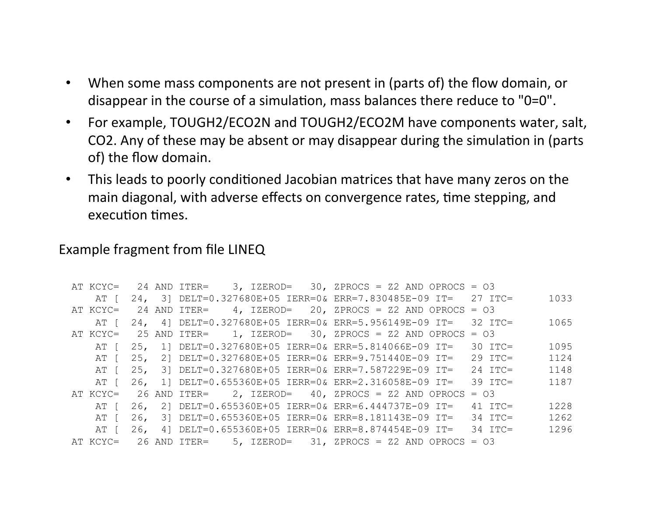- When some mass components are not present in (parts of) the flow domain, or  $\bullet$ disappear in the course of a simulation, mass balances there reduce to "0=0".
- For example, TOUGH2/ECO2N and TOUGH2/ECO2M have components water, salt,  $\bullet$ CO2. Any of these may be absent or may disappear during the simulation in (parts of) the flow domain.
- This leads to poorly conditioned Jacobian matrices that have many zeros on the  $\bullet$ main diagonal, with adverse effects on convergence rates, time stepping, and execution times.

## Example fragment from file LINEQ

| AT KCYC= |     |              |  | 24 AND ITER= $3$ , IZEROD= $30$ , ZPROCS = Z2 AND OPROCS = 03    |           |      |
|----------|-----|--------------|--|------------------------------------------------------------------|-----------|------|
| AT L     |     |              |  | 24, 3] DELT=0.327680E+05 IERR=0& ERR=7.830485E-09 IT=            | $27$ TTC= | 1033 |
| AT KCYC= |     | 24 AND ITER= |  | $4$ , IZEROD= 20, ZPROCS = Z2 AND OPROCS = 03                    |           |      |
| AT I     |     |              |  | 24, 4] DELT=0.327680E+05 IERR=0& ERR=5.956149E-09 IT=            | $32$ TTC= | 1065 |
| AT KCYC= |     |              |  | 25 AND ITER= $1,$ IZEROD= 30, ZPROCS = Z2 AND OPROCS = 03        |           |      |
| AT [     |     |              |  | 25, 1] DELT=0.327680E+05 IERR=0& ERR=5.814066E-09 IT=            | $30$ ITC= | 1095 |
| AT L     | 25, |              |  | 2] DELT=0.327680E+05 IERR=0& ERR=9.751440E-09 IT=                | $29$ TTC= | 1124 |
| AT I     | 25. |              |  | 3] DELT=0.327680E+05 IERR=0& ERR=7.587229E-09 IT=                | $24$ TTC= | 1148 |
| AT I     |     |              |  | 26, 1] DELT=0.655360E+05 IERR=0& ERR=2.316058E-09 IT=            | $39$ TTC= | 1187 |
|          |     |              |  | AT KCYC= 26 AND ITER= 2, IZEROD= 40, ZPROCS = Z2 AND OPROCS = 03 |           |      |
| AT I     |     |              |  | 26, 2] DELT=0.655360E+05 IERR=0& ERR=6.444737E-09 IT=            | $41$ TTC= | 1228 |
| AT L     | 26, |              |  | 3] DELT=0.655360E+05 IERR=0& ERR=8.181143E-09 IT=                | $34$ TTC= | 1262 |
| AT L     |     |              |  | 26, 4] DELT=0.655360E+05 IERR=0& ERR=8.874454E-09 IT=            | 34 TTC=   | 1296 |
| AT KCYC= |     |              |  | 26 AND ITER= $5$ , IZEROD= $31$ , ZPROCS = Z2 AND OPROCS = 03    |           |      |